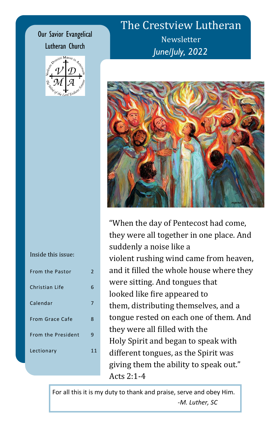Lutheran Church



| Inside this issue:        |    |
|---------------------------|----|
| From the Pastor           | 2  |
| Christian Life            | 6  |
| Calendar                  | 7  |
| <b>From Grace Cafe</b>    | 8  |
| <b>From the President</b> | 9  |
| Lectionary                | 11 |
|                           |    |

# *June/July, 2022* The Crestview Lutheran **Our Savior Evangelical Community Construction Community Community Community Community Community Community Comm**



"When the day of Pentecost had come, they were all together in one place. And suddenly a noise like a violent rushing wind came from heaven, and it filled the whole house where they were sitting. And tongues that looked like fire appeared to them, distributing themselves, and a tongue rested on each one of them. And they were all filled with the Holy Spirit and began to speak with different tongues, as the Spirit was giving them the ability to speak out." Acts 2:1-4

For all this it is my duty to thank and praise, serve and obey Him. *-M. Luther, SC*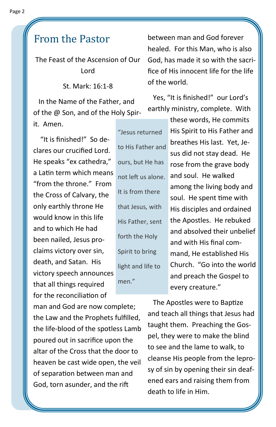## From the Pastor

The Feast of the Ascension of Our Lord

St. Mark: 16:1-8

 In the Name of the Father, and of the @ Son, and of the Holy Spirit. Amen.

"Jesus returned

to His Father and

ours, but He has not left us alone.

It is from there

that Jesus, with

His Father, sent

forth the Holy

Spirit to bring

light and life to

men."

 "It is finished!" So declares our crucified Lord. He speaks "ex cathedra," a Latin term which means "from the throne." From the Cross of Calvary, the only earthly throne He would know in this life and to which He had been nailed, Jesus proclaims victory over sin, death, and Satan. His victory speech announces that all things required for the reconciliation of

man and God are now complete; the Law and the Prophets fulfilled, the life-blood of the spotless Lamb poured out in sacrifice upon the altar of the Cross that the door to heaven be cast wide open, the veil of separation between man and God, torn asunder, and the rift

between man and God forever healed. For this Man, who is also God, has made it so with the sacrifice of His innocent life for the life of the world.

 Yes, "It is finished!" our Lord's earthly ministry, complete. With

> these words, He commits His Spirit to His Father and breathes His last. Yet, Jesus did not stay dead. He rose from the grave body and soul. He walked among the living body and soul. He spent time with His disciples and ordained the Apostles. He rebuked and absolved their unbelief and with His final command, He established His Church. "Go into the world and preach the Gospel to every creature."

 The Apostles were to Baptize and teach all things that Jesus had taught them. Preaching the Gospel, they were to make the blind to see and the lame to walk, to cleanse His people from the leprosy of sin by opening their sin deafened ears and raising them from death to life in Him.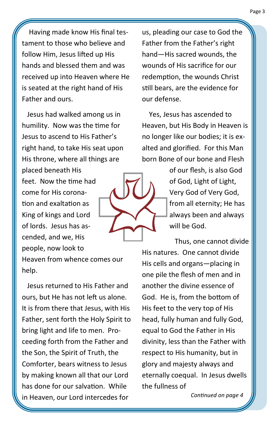Having made know His final testament to those who believe and follow Him, Jesus lifted up His hands and blessed them and was received up into Heaven where He is seated at the right hand of His Father and ours.

 Jesus had walked among us in humility. Now was the time for Jesus to ascend to His Father's right hand, to take His seat upon His throne, where all things are

placed beneath His feet. Now the time had come for His coronation and exaltation as King of kings and Lord of lords. Jesus has ascended, and we, His people, now look to

Heaven from whence comes our help.

 Jesus returned to His Father and ours, but He has not left us alone. It is from there that Jesus, with His Father, sent forth the Holy Spirit to bring light and life to men. Proceeding forth from the Father and the Son, the Spirit of Truth, the Comforter, bears witness to Jesus by making known all that our Lord has done for our salvation. While in Heaven, our Lord intercedes for

us, pleading our case to God the Father from the Father's right hand—His sacred wounds, the wounds of His sacrifice for our redemption, the wounds Christ still bears, are the evidence for our defense.

 Yes, Jesus has ascended to Heaven, but His Body in Heaven is no longer like our bodies; it is exalted and glorified. For this Man born Bone of our bone and Flesh



of our flesh, is also God of God, Light of Light, Very God of Very God, from all eternity; He has always been and always will be God.

 Thus, one cannot divide His natures. One cannot divide His cells and organs—placing in one pile the flesh of men and in another the divine essence of God. He is, from the bottom of His feet to the very top of His head, fully human and fully God, equal to God the Father in His divinity, less than the Father with respect to His humanity, but in glory and majesty always and eternally coequal. In Jesus dwells the fullness of

*Continued on page 4*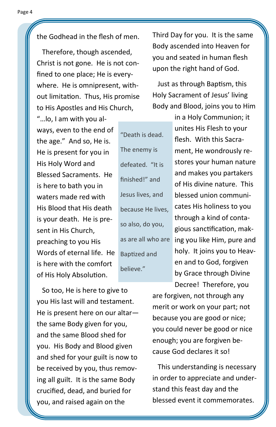the Godhead in the flesh of men.

 Therefore, though ascended, Christ is not gone. He is not confined to one place; He is everywhere. He is omnipresent, without limitation. Thus, His promise to His Apostles and His Church,

"…lo, I am with you always, even to the end of the age." And so, He is. He is present for you in His Holy Word and Blessed Sacraments. He is here to bath you in waters made red with His Blood that His death is your death. He is present in His Church, preaching to you His Words of eternal life. He is here with the comfort of His Holy Absolution.

 So too, He is here to give to you His last will and testament. He is present here on our altar the same Body given for you, and the same Blood shed for you. His Body and Blood given and shed for your guilt is now to be received by you, thus removing all guilt. It is the same Body crucified, dead, and buried for you, and raised again on the

Third Day for you. It is the same Body ascended into Heaven for you and seated in human flesh upon the right hand of God.

 Just as through Baptism, this Holy Sacrament of Jesus' living Body and Blood, joins you to Him

"Death is dead. The enemy is defeated. "It is finished!" and Jesus lives, and because He lives, so also, do you, as are all who are Baptized and believe."

in a Holy Communion; it unites His Flesh to your flesh. With this Sacrament, He wondrously restores your human nature and makes you partakers of His divine nature. This blessed union communicates His holiness to you through a kind of contagious sanctification, making you like Him, pure and holy. It joins you to Heaven and to God, forgiven by Grace through Divine Decree! Therefore, you

are forgiven, not through any merit or work on your part; not because you are good or nice; you could never be good or nice enough; you are forgiven because God declares it so!

 This understanding is necessary in order to appreciate and understand this feast day and the blessed event it commemorates.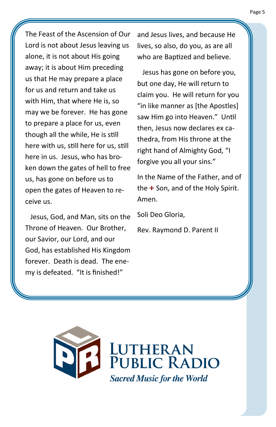The Feast of the Ascension of Our Lord is not about Jesus leaving us alone, it is not about His going away; it is about Him preceding us that He may prepare a place for us and return and take us with Him, that where He is, so may we be forever. He has gone to prepare a place for us, even though all the while, He is still here with us, still here for us, still here in us. Jesus, who has broken down the gates of hell to free us, has gone on before us to open the gates of Heaven to receive us.

 Jesus, God, and Man, sits on the Throne of Heaven. Our Brother, our Savior, our Lord, and our God, has established His Kingdom forever. Death is dead. The enemy is defeated. "It is finished!"

and Jesus lives, and because He lives, so also, do you, as are all who are Baptized and believe.

 Jesus has gone on before you, but one day, He will return to claim you. He will return for you "in like manner as [the Apostles] saw Him go into Heaven." Until then, Jesus now declares ex cathedra, from His throne at the right hand of Almighty God, "I forgive you all your sins."

In the Name of the Father, and of the + Son, and of the Holy Spirit. Amen.

Soli Deo Gloria,

Rev. Raymond D. Parent II

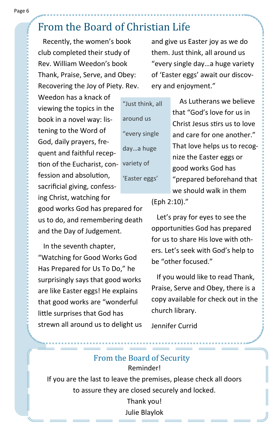# From the Board of Christian Life

 Recently, the women's book club completed their study of Rev. William Weedon's book Thank, Praise, Serve, and Obey: Recovering the Joy of Piety. Rev.

Weedon has a knack of viewing the topics in the book in a novel way: listening to the Word of God, daily prayers, frequent and faithful reception of the Eucharist, confession and absolution, sacrificial giving, confessing Christ, watching for good works God has prepared for us to do, and remembering death and the Day of Judgement.

 In the seventh chapter, "Watching for Good Works God Has Prepared for Us To Do," he surprisingly says that good works are like Easter eggs! He explains that good works are "wonderful little surprises that God has strewn all around us to delight us

and give us Easter joy as we do them. Just think, all around us "every single day…a huge variety of 'Easter eggs' await our discovery and enjoyment."

"Just think, all around us "every single day…a huge variety of 'Easter eggs'

 As Lutherans we believe that "God's love for us in Christ Jesus stirs us to love and care for one another." That love helps us to recognize the Easter eggs or good works God has "prepared beforehand that we should walk in them (Eph 2:10)."

 Let's pray for eyes to see the opportunities God has prepared for us to share His love with others. Let's seek with God's help to be "other focused."

 If you would like to read Thank, Praise, Serve and Obey, there is a copy available for check out in the church library.

Jennifer Currid

#### From the Board of Security Reminder!

If you are the last to leave the premises, please check all doors to assure they are closed securely and locked.

Thank you! Julie Blaylok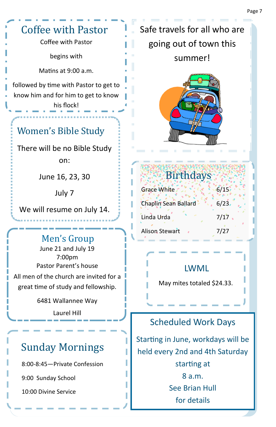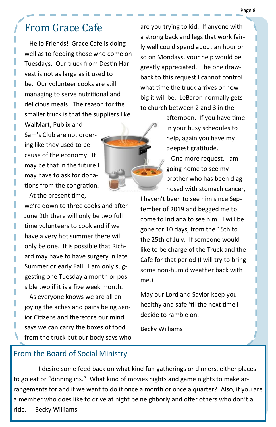Hello Friends! Grace Cafe is doing well as to feeding those who come on Tuesdays. Our truck from Destin Harvest is not as large as it used to be. Our volunteer cooks are still managing to serve nutritional and delicious meals. The reason for the smaller truck is that the suppliers like

WalMart, Publix and Sam's Club are not ordering like they used to because of the economy. It may be that in the future I may have to ask for donations from the congration. At the present time,

we're down to three cooks and after June 9th there will only be two full time volunteers to cook and if we have a very hot summer there will only be one. It is possible that Richard may have to have surgery in late Summer or early Fall. I am only suggesting one Tuesday a month or possible two if it is a five week month.

 As everyone knows we are all enjoying the aches and pains being Senior Citizens and therefore our mind says we can carry the boxes of food from the truck but our body says who

From Grace Cafe are you trying to kid. If anyone with a strong back and legs that work fairly well could spend about an hour or so on Mondays, your help would be greatly appreciated. The one drawback to this request I cannot control what time the truck arrives or how big it will be. LeBaron normally gets to church between 2 and 3 in the

> afternoon. If you have time in your busy schedules to help, again you have my deepest gratitude.

> One more request, I am going home to see my brother who has been diagnosed with stomach cancer,

I haven't been to see him since September of 2019 and begged me to come to Indiana to see him. I will be gone for 10 days, from the 15th to the 25th of July. If someone would like to be charge of the Truck and the Cafe for that period (I will try to bring some non-humid weather back with me.)

May our Lord and Savior keep you healthy and safe 'til the next time I decide to ramble on.

Becky Williams

#### From the Board of Social Ministry

I desire some feed back on what kind fun gatherings or dinners, either places to go eat or "dinning ins." What kind of movies nights and game nights to make arrangements for and if we want to do it once a month or once a quarter? Also, if you are a member who does like to drive at night be neighborly and offer others who don't a ride. -Becky Williams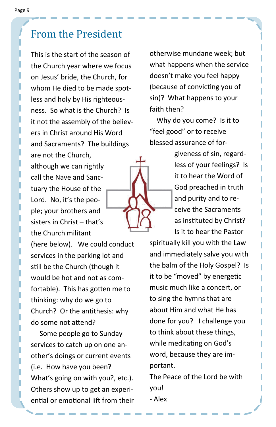## From the President

This is the start of the season of the Church year where we focus on Jesus' bride, the Church, for whom He died to be made spotless and holy by His righteousness. So what is the Church? Is it not the assembly of the believers in Christ around His Word and Sacraments? The buildings are not the Church,

although we can rightly call the Nave and Sanctuary the House of the Lord. No, it's the people; your brothers and sisters in Christ – that's the Church militant

(here below). We could conduct services in the parking lot and still be the Church (though it would be hot and not as comfortable). This has gotten me to thinking: why do we go to Church? Or the antithesis: why do some not attend?

 Some people go to Sunday services to catch up on one another's doings or current events (i.e. How have you been? What's going on with you?, etc.). Others show up to get an experiential or emotional lift from their otherwise mundane week; but what happens when the service doesn't make you feel happy (because of convicting you of sin)? What happens to your faith then?

 Why do you come? Is it to "feel good" or to receive blessed assurance of for-

> giveness of sin, regardless of your feelings? Is it to hear the Word of God preached in truth and purity and to receive the Sacraments as instituted by Christ? Is it to hear the Pastor

spiritually kill you with the Law and immediately salve you with the balm of the Holy Gospel? Is it to be "moved" by energetic music much like a concert, or to sing the hymns that are about Him and what He has done for you? I challenge you to think about these things, while meditating on God's word, because they are important.

The Peace of the Lord be with you!

- Alex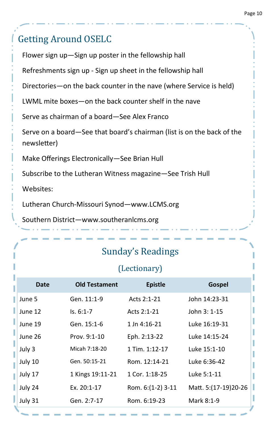## Getting Around OSELC

Flower sign up—Sign up poster in the fellowship hall

Refreshments sign up - Sign up sheet in the fellowship hall

Directories—on the back counter in the nave (where Service is held)

LWML mite boxes—on the back counter shelf in the nave

Serve as chairman of a board—See Alex Franco

Serve on a board—See that board's chairman (list is on the back of the newsletter)

Make Offerings Electronically—See Brian Hull

Subscribe to the Lutheran Witness magazine—See Trish Hull

Websites:

Lutheran Church-Missouri Synod—www.LCMS.org

Southern District—www.southeranlcms.org

### Sunday's Readings

#### (Lectionary)

| <b>Date</b> | <b>Old Testament</b> | <b>Epistle</b>     | Gospel               |
|-------------|----------------------|--------------------|----------------------|
| June 5      | Gen. 11:1-9          | Acts 2:1-21        | John 14:23-31        |
| June 12     | $Is. 6:1-7$          | Acts 2:1-21        | John 3: 1-15         |
| June 19     | Gen. 15:1-6          | 1 Jn 4:16-21       | Luke 16:19-31        |
| June 26     | Prov. 9:1-10         | Eph. 2:13-22       | Luke 14:15-24        |
| July 3      | Micah 7:18-20        | 1 Tim. 1:12-17     | Luke 15:1-10         |
| July 10     | Gen. 50:15-21        | Rom. 12:14-21      | Luke 6:36-42         |
| July 17     | 1 Kings 19:11-21     | 1 Cor. 1:18-25     | Luke 5:1-11          |
| July 24     | Ex. 20:1-17          | Rom. 6: (1-2) 3-11 | Matt. 5:(17-19)20-26 |
| July 31     | Gen. 2:7-17          | Rom. 6:19-23       | Mark 8:1-9           |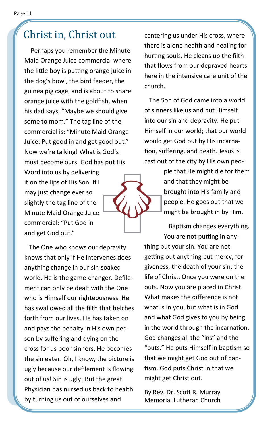## Christ in, Christ out

 Perhaps you remember the Minute Maid Orange Juice commercial where the little boy is putting orange juice in the dog's bowl, the bird feeder, the guinea pig cage, and is about to share orange juice with the goldfish, when his dad says, "Maybe we should give some to mom." The tag line of the commercial is: "Minute Maid Orange Juice: Put good in and get good out." Now we're talking! What is God's must become ours. God has put His

Word into us by delivering it on the lips of His Son. If I may just change ever so slightly the tag line of the Minute Maid Orange Juice commercial: "Put God in and get God out."

 The One who knows our depravity knows that only if He intervenes does anything change in our sin-soaked world. He is the game-changer. Defilement can only be dealt with the One who is Himself our righteousness. He has swallowed all the filth that belches forth from our lives. He has taken on and pays the penalty in His own person by suffering and dying on the cross for us poor sinners. He becomes the sin eater. Oh, I know, the picture is ugly because our defilement is flowing out of us! Sin is ugly! But the great Physician has nursed us back to health by turning us out of ourselves and

centering us under His cross, where there is alone health and healing for hurting souls. He cleans up the filth that flows from our depraved hearts here in the intensive care unit of the church.

 The Son of God came into a world of sinners like us and put Himself into our sin and depravity. He put Himself in our world; that our world would get God out by His incarnation, suffering, and death. Jesus is cast out of the city by His own peo-

> ple that He might die for them and that they might be brought into His family and people. He goes out that we might be brought in by Him.

 Baptism changes everything. You are not putting in anything but your sin. You are not getting out anything but mercy, forgiveness, the death of your sin, the life of Christ. Once you were on the outs. Now you are placed in Christ. What makes the difference is not what is in you, but what is in God and what God gives to you by being in the world through the incarnation. God changes all the "ins" and the "outs." He puts Himself in baptism so that we might get God out of baptism. God puts Christ in that we might get Christ out.

By Rev. Dr. Scott R. Murray Memorial Lutheran Church